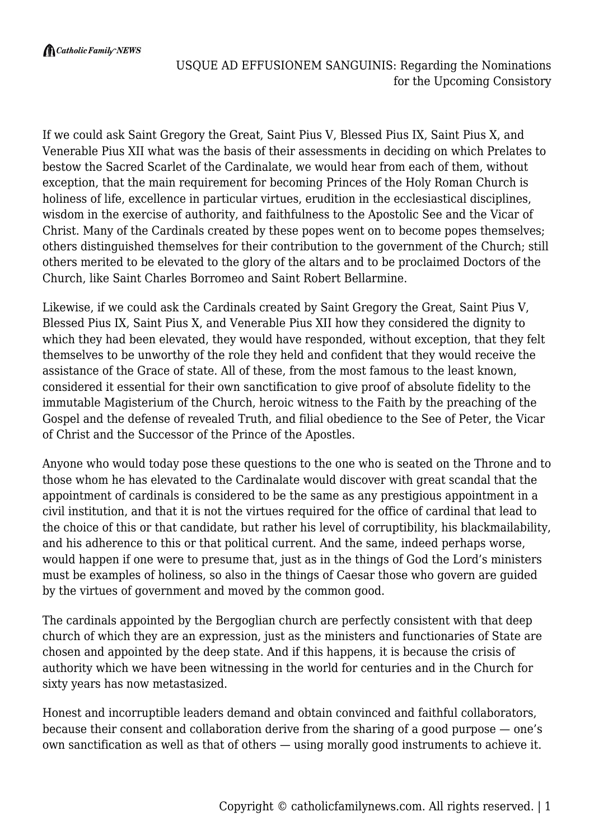If we could ask Saint Gregory the Great, Saint Pius V, Blessed Pius IX, Saint Pius X, and Venerable Pius XII what was the basis of their assessments in deciding on which Prelates to bestow the Sacred Scarlet of the Cardinalate, we would hear from each of them, without exception, that the main requirement for becoming Princes of the Holy Roman Church is holiness of life, excellence in particular virtues, erudition in the ecclesiastical disciplines, wisdom in the exercise of authority, and faithfulness to the Apostolic See and the Vicar of Christ. Many of the Cardinals created by these popes went on to become popes themselves; others distinguished themselves for their contribution to the government of the Church; still others merited to be elevated to the glory of the altars and to be proclaimed Doctors of the Church, like Saint Charles Borromeo and Saint Robert Bellarmine.

Likewise, if we could ask the Cardinals created by Saint Gregory the Great, Saint Pius V, Blessed Pius IX, Saint Pius X, and Venerable Pius XII how they considered the dignity to which they had been elevated, they would have responded, without exception, that they felt themselves to be unworthy of the role they held and confident that they would receive the assistance of the Grace of state. All of these, from the most famous to the least known, considered it essential for their own sanctification to give proof of absolute fidelity to the immutable Magisterium of the Church, heroic witness to the Faith by the preaching of the Gospel and the defense of revealed Truth, and filial obedience to the See of Peter, the Vicar of Christ and the Successor of the Prince of the Apostles.

Anyone who would today pose these questions to the one who is seated on the Throne and to those whom he has elevated to the Cardinalate would discover with great scandal that the appointment of cardinals is considered to be the same as any prestigious appointment in a civil institution, and that it is not the virtues required for the office of cardinal that lead to the choice of this or that candidate, but rather his level of corruptibility, his blackmailability, and his adherence to this or that political current. And the same, indeed perhaps worse, would happen if one were to presume that, just as in the things of God the Lord's ministers must be examples of holiness, so also in the things of Caesar those who govern are guided by the virtues of government and moved by the common good.

The cardinals appointed by the Bergoglian church are perfectly consistent with that deep church of which they are an expression, just as the ministers and functionaries of State are chosen and appointed by the deep state. And if this happens, it is because the crisis of authority which we have been witnessing in the world for centuries and in the Church for sixty years has now metastasized.

Honest and incorruptible leaders demand and obtain convinced and faithful collaborators, because their consent and collaboration derive from the sharing of a good purpose — one's own sanctification as well as that of others — using morally good instruments to achieve it.